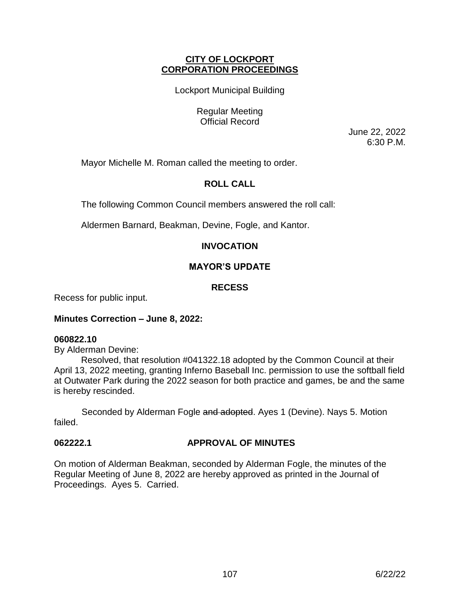## **CITY OF LOCKPORT CORPORATION PROCEEDINGS**

Lockport Municipal Building

Regular Meeting Official Record

> June 22, 2022 6:30 P.M.

Mayor Michelle M. Roman called the meeting to order.

# **ROLL CALL**

The following Common Council members answered the roll call:

Aldermen Barnard, Beakman, Devine, Fogle, and Kantor.

## **INVOCATION**

## **MAYOR'S UPDATE**

## **RECESS**

Recess for public input.

## **Minutes Correction – June 8, 2022:**

#### **060822.10**

By Alderman Devine:

Resolved, that resolution #041322.18 adopted by the Common Council at their April 13, 2022 meeting, granting Inferno Baseball Inc. permission to use the softball field at Outwater Park during the 2022 season for both practice and games, be and the same is hereby rescinded.

Seconded by Alderman Fogle and adopted. Ayes 1 (Devine). Nays 5. Motion failed.

## **062222.1 APPROVAL OF MINUTES**

On motion of Alderman Beakman, seconded by Alderman Fogle, the minutes of the Regular Meeting of June 8, 2022 are hereby approved as printed in the Journal of Proceedings. Ayes 5. Carried.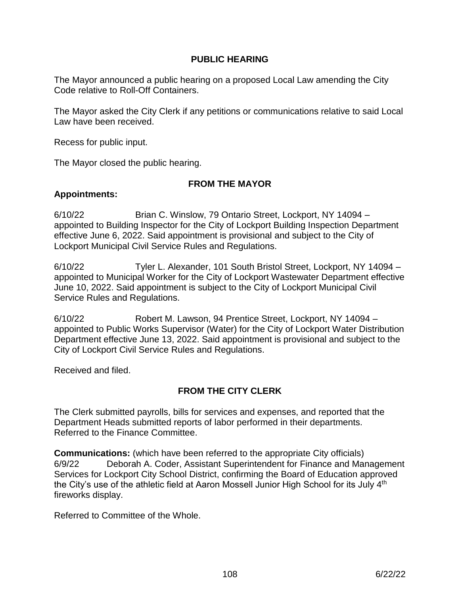## **PUBLIC HEARING**

The Mayor announced a public hearing on a proposed Local Law amending the City Code relative to Roll-Off Containers.

The Mayor asked the City Clerk if any petitions or communications relative to said Local Law have been received.

Recess for public input.

The Mayor closed the public hearing.

## **FROM THE MAYOR**

## **Appointments:**

6/10/22 Brian C. Winslow, 79 Ontario Street, Lockport, NY 14094 – appointed to Building Inspector for the City of Lockport Building Inspection Department effective June 6, 2022. Said appointment is provisional and subject to the City of Lockport Municipal Civil Service Rules and Regulations.

6/10/22 Tyler L. Alexander, 101 South Bristol Street, Lockport, NY 14094 – appointed to Municipal Worker for the City of Lockport Wastewater Department effective June 10, 2022. Said appointment is subject to the City of Lockport Municipal Civil Service Rules and Regulations.

6/10/22 Robert M. Lawson, 94 Prentice Street, Lockport, NY 14094 – appointed to Public Works Supervisor (Water) for the City of Lockport Water Distribution Department effective June 13, 2022. Said appointment is provisional and subject to the City of Lockport Civil Service Rules and Regulations.

Received and filed.

# **FROM THE CITY CLERK**

The Clerk submitted payrolls, bills for services and expenses, and reported that the Department Heads submitted reports of labor performed in their departments. Referred to the Finance Committee.

**Communications:** (which have been referred to the appropriate City officials) 6/9/22 Deborah A. Coder, Assistant Superintendent for Finance and Management Services for Lockport City School District, confirming the Board of Education approved the City's use of the athletic field at Aaron Mossell Junior High School for its July 4<sup>th</sup> fireworks display.

Referred to Committee of the Whole.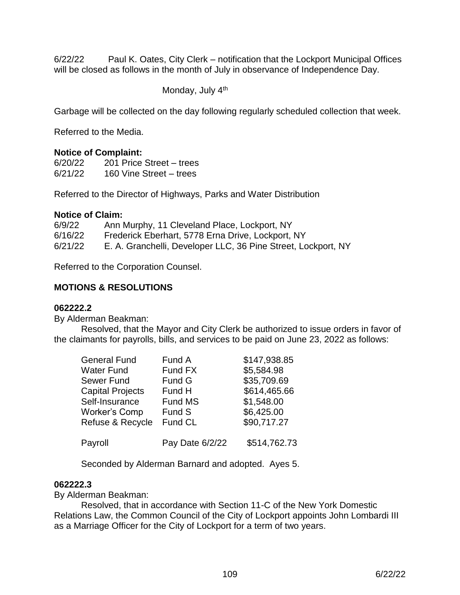6/22/22 Paul K. Oates, City Clerk – notification that the Lockport Municipal Offices will be closed as follows in the month of July in observance of Independence Day.

Monday, July 4<sup>th</sup>

Garbage will be collected on the day following regularly scheduled collection that week.

Referred to the Media.

## **Notice of Complaint:**

6/20/22 201 Price Street – trees 6/21/22 160 Vine Street – trees

Referred to the Director of Highways, Parks and Water Distribution

#### **Notice of Claim:**

| 6/9/22  | Ann Murphy, 11 Cleveland Place, Lockport, NY                  |
|---------|---------------------------------------------------------------|
| 6/16/22 | Frederick Eberhart, 5778 Erna Drive, Lockport, NY             |
| 6/21/22 | E. A. Granchelli, Developer LLC, 36 Pine Street, Lockport, NY |

Referred to the Corporation Counsel.

## **MOTIONS & RESOLUTIONS**

#### **062222.2**

By Alderman Beakman:

Resolved, that the Mayor and City Clerk be authorized to issue orders in favor of the claimants for payrolls, bills, and services to be paid on June 23, 2022 as follows:

| <b>General Fund</b>     | Fund A          | \$147,938.85 |
|-------------------------|-----------------|--------------|
| <b>Water Fund</b>       | Fund FX         | \$5,584.98   |
| Sewer Fund              | Fund G          | \$35,709.69  |
| <b>Capital Projects</b> | Fund H          | \$614,465.66 |
| Self-Insurance          | <b>Fund MS</b>  | \$1,548.00   |
| <b>Worker's Comp</b>    | Fund S          | \$6,425.00   |
| Refuse & Recycle        | Fund CL         | \$90,717.27  |
| Payroll                 | Pay Date 6/2/22 | \$514,762.73 |

Seconded by Alderman Barnard and adopted. Ayes 5.

#### **062222.3**

By Alderman Beakman:

Resolved, that in accordance with Section 11-C of the New York Domestic Relations Law, the Common Council of the City of Lockport appoints John Lombardi III as a Marriage Officer for the City of Lockport for a term of two years.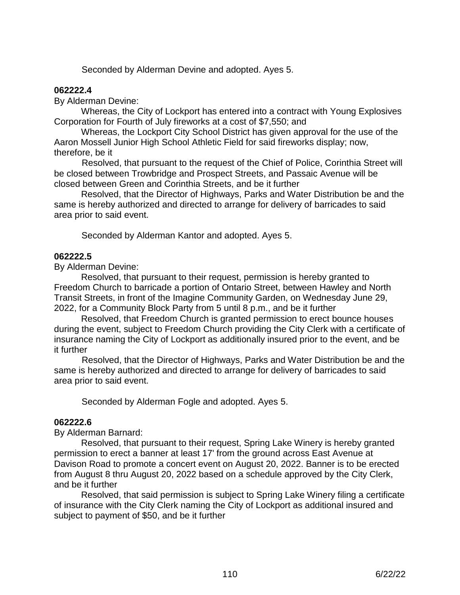Seconded by Alderman Devine and adopted. Ayes 5.

## **062222.4**

By Alderman Devine:

Whereas, the City of Lockport has entered into a contract with Young Explosives Corporation for Fourth of July fireworks at a cost of \$7,550; and

Whereas, the Lockport City School District has given approval for the use of the Aaron Mossell Junior High School Athletic Field for said fireworks display; now, therefore, be it

 Resolved, that pursuant to the request of the Chief of Police, Corinthia Street will be closed between Trowbridge and Prospect Streets, and Passaic Avenue will be closed between Green and Corinthia Streets, and be it further

Resolved, that the Director of Highways, Parks and Water Distribution be and the same is hereby authorized and directed to arrange for delivery of barricades to said area prior to said event.

Seconded by Alderman Kantor and adopted. Ayes 5.

## **062222.5**

By Alderman Devine:

Resolved, that pursuant to their request, permission is hereby granted to Freedom Church to barricade a portion of Ontario Street, between Hawley and North Transit Streets, in front of the Imagine Community Garden, on Wednesday June 29, 2022, for a Community Block Party from 5 until 8 p.m., and be it further

Resolved, that Freedom Church is granted permission to erect bounce houses during the event, subject to Freedom Church providing the City Clerk with a certificate of insurance naming the City of Lockport as additionally insured prior to the event, and be it further

 Resolved, that the Director of Highways, Parks and Water Distribution be and the same is hereby authorized and directed to arrange for delivery of barricades to said area prior to said event.

Seconded by Alderman Fogle and adopted. Ayes 5.

## **062222.6**

By Alderman Barnard:

Resolved, that pursuant to their request, Spring Lake Winery is hereby granted permission to erect a banner at least 17' from the ground across East Avenue at Davison Road to promote a concert event on August 20, 2022. Banner is to be erected from August 8 thru August 20, 2022 based on a schedule approved by the City Clerk, and be it further

Resolved, that said permission is subject to Spring Lake Winery filing a certificate of insurance with the City Clerk naming the City of Lockport as additional insured and subject to payment of \$50, and be it further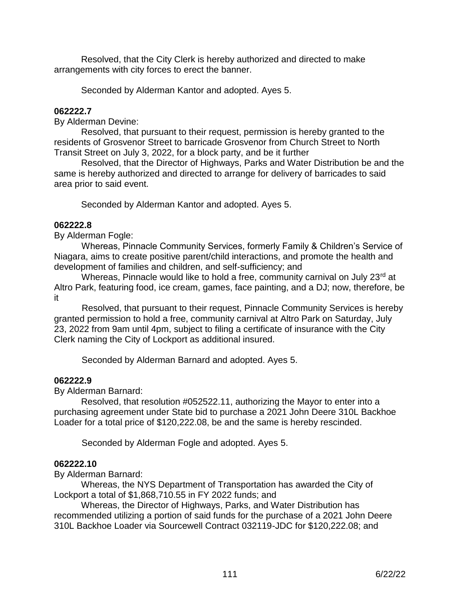Resolved, that the City Clerk is hereby authorized and directed to make arrangements with city forces to erect the banner.

Seconded by Alderman Kantor and adopted. Ayes 5.

## **062222.7**

By Alderman Devine:

Resolved, that pursuant to their request, permission is hereby granted to the residents of Grosvenor Street to barricade Grosvenor from Church Street to North Transit Street on July 3, 2022, for a block party, and be it further

Resolved, that the Director of Highways, Parks and Water Distribution be and the same is hereby authorized and directed to arrange for delivery of barricades to said area prior to said event.

Seconded by Alderman Kantor and adopted. Ayes 5.

## **062222.8**

By Alderman Fogle:

 Whereas, Pinnacle Community Services, formerly Family & Children's Service of Niagara, aims to create positive parent/child interactions, and promote the health and development of families and children, and self-sufficiency; and

Whereas, Pinnacle would like to hold a free, community carnival on July 23rd at Altro Park, featuring food, ice cream, games, face painting, and a DJ; now, therefore, be it

 Resolved, that pursuant to their request, Pinnacle Community Services is hereby granted permission to hold a free, community carnival at Altro Park on Saturday, July 23, 2022 from 9am until 4pm, subject to filing a certificate of insurance with the City Clerk naming the City of Lockport as additional insured.

Seconded by Alderman Barnard and adopted. Ayes 5.

#### **062222.9**

By Alderman Barnard:

Resolved, that resolution #052522.11, authorizing the Mayor to enter into a purchasing agreement under State bid to purchase a 2021 John Deere 310L Backhoe Loader for a total price of \$120,222.08, be and the same is hereby rescinded.

Seconded by Alderman Fogle and adopted. Ayes 5.

#### **062222.10**

By Alderman Barnard:

Whereas, the NYS Department of Transportation has awarded the City of Lockport a total of \$1,868,710.55 in FY 2022 funds; and

Whereas, the Director of Highways, Parks, and Water Distribution has recommended utilizing a portion of said funds for the purchase of a 2021 John Deere 310L Backhoe Loader via Sourcewell Contract 032119-JDC for \$120,222.08; and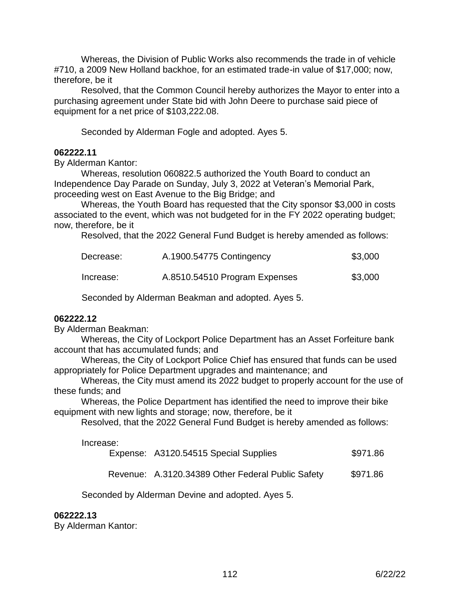Whereas, the Division of Public Works also recommends the trade in of vehicle #710, a 2009 New Holland backhoe, for an estimated trade-in value of \$17,000; now, therefore, be it

Resolved, that the Common Council hereby authorizes the Mayor to enter into a purchasing agreement under State bid with John Deere to purchase said piece of equipment for a net price of \$103,222.08.

Seconded by Alderman Fogle and adopted. Ayes 5.

#### **062222.11**

By Alderman Kantor:

Whereas, resolution 060822.5 authorized the Youth Board to conduct an Independence Day Parade on Sunday, July 3, 2022 at Veteran's Memorial Park, proceeding west on East Avenue to the Big Bridge; and

Whereas, the Youth Board has requested that the City sponsor \$3,000 in costs associated to the event, which was not budgeted for in the FY 2022 operating budget; now, therefore, be it

Resolved, that the 2022 General Fund Budget is hereby amended as follows:

| Decrease: | A.1900.54775 Contingency      | \$3,000 |
|-----------|-------------------------------|---------|
| Increase: | A.8510.54510 Program Expenses | \$3,000 |

Seconded by Alderman Beakman and adopted. Ayes 5.

#### **062222.12**

By Alderman Beakman:

Whereas, the City of Lockport Police Department has an Asset Forfeiture bank account that has accumulated funds; and

 Whereas, the City of Lockport Police Chief has ensured that funds can be used appropriately for Police Department upgrades and maintenance; and

Whereas, the City must amend its 2022 budget to properly account for the use of these funds; and

Whereas, the Police Department has identified the need to improve their bike equipment with new lights and storage; now, therefore, be it

Resolved, that the 2022 General Fund Budget is hereby amended as follows:

Increase:

|  | Expense: A3120.54515 Special Supplies | \$971.86 |
|--|---------------------------------------|----------|
|--|---------------------------------------|----------|

Revenue: A.3120.34389 Other Federal Public Safety \$971.86

Seconded by Alderman Devine and adopted. Ayes 5.

#### **062222.13**

By Alderman Kantor: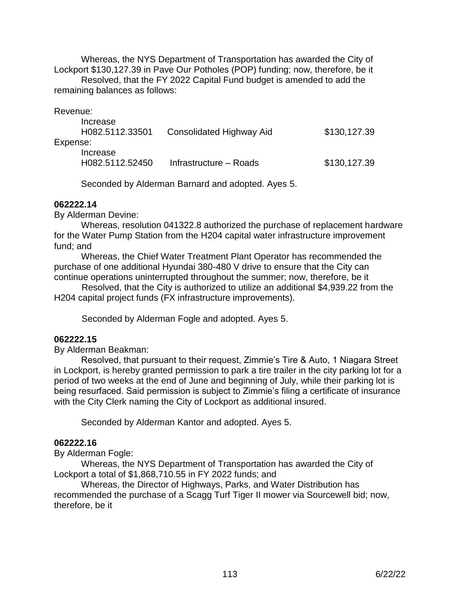Whereas, the NYS Department of Transportation has awarded the City of Lockport \$130,127.39 in Pave Our Potholes (POP) funding; now, therefore, be it Resolved, that the FY 2022 Capital Fund budget is amended to add the remaining balances as follows:

| Revenue: |                             |                          |              |
|----------|-----------------------------|--------------------------|--------------|
|          | Increase<br>H082.5112.33501 | Consolidated Highway Aid | \$130,127.39 |
| Expense: |                             |                          |              |
|          | Increase<br>H082.5112.52450 | Infrastructure – Roads   | \$130,127.39 |

Seconded by Alderman Barnard and adopted. Ayes 5.

#### **062222.14**

By Alderman Devine:

Whereas, resolution 041322.8 authorized the purchase of replacement hardware for the Water Pump Station from the H204 capital water infrastructure improvement fund; and

Whereas, the Chief Water Treatment Plant Operator has recommended the purchase of one additional Hyundai 380-480 V drive to ensure that the City can continue operations uninterrupted throughout the summer; now, therefore, be it

 Resolved, that the City is authorized to utilize an additional \$4,939.22 from the H204 capital project funds (FX infrastructure improvements).

Seconded by Alderman Fogle and adopted. Ayes 5.

## **062222.15**

By Alderman Beakman:

Resolved, that pursuant to their request, Zimmie's Tire & Auto, 1 Niagara Street in Lockport, is hereby granted permission to park a tire trailer in the city parking lot for a period of two weeks at the end of June and beginning of July, while their parking lot is being resurfaced. Said permission is subject to Zimmie's filing a certificate of insurance with the City Clerk naming the City of Lockport as additional insured.

Seconded by Alderman Kantor and adopted. Ayes 5.

#### **062222.16**

By Alderman Fogle:

Whereas, the NYS Department of Transportation has awarded the City of Lockport a total of \$1,868,710.55 in FY 2022 funds; and

Whereas, the Director of Highways, Parks, and Water Distribution has recommended the purchase of a Scagg Turf Tiger II mower via Sourcewell bid; now, therefore, be it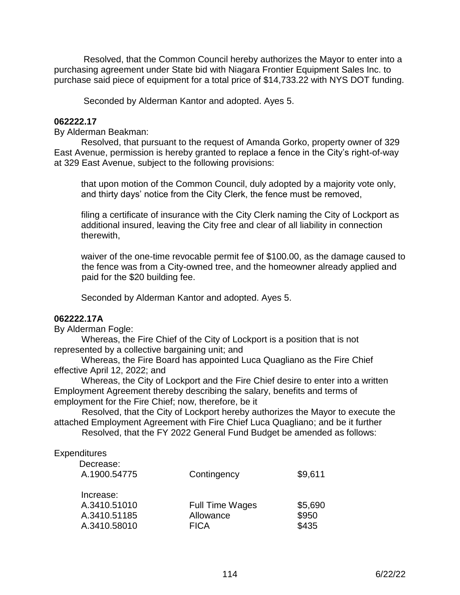Resolved, that the Common Council hereby authorizes the Mayor to enter into a purchasing agreement under State bid with Niagara Frontier Equipment Sales Inc. to purchase said piece of equipment for a total price of \$14,733.22 with NYS DOT funding.

Seconded by Alderman Kantor and adopted. Ayes 5.

## **062222.17**

By Alderman Beakman:

Resolved, that pursuant to the request of Amanda Gorko, property owner of 329 East Avenue, permission is hereby granted to replace a fence in the City's right-of-way at 329 East Avenue, subject to the following provisions:

that upon motion of the Common Council, duly adopted by a majority vote only, and thirty days' notice from the City Clerk, the fence must be removed,

filing a certificate of insurance with the City Clerk naming the City of Lockport as additional insured, leaving the City free and clear of all liability in connection therewith,

waiver of the one-time revocable permit fee of \$100.00, as the damage caused to the fence was from a City-owned tree, and the homeowner already applied and paid for the \$20 building fee.

Seconded by Alderman Kantor and adopted. Ayes 5.

#### **062222.17A**

By Alderman Fogle:

 Whereas, the Fire Chief of the City of Lockport is a position that is not represented by a collective bargaining unit; and

 Whereas, the Fire Board has appointed Luca Quagliano as the Fire Chief effective April 12, 2022; and

 Whereas, the City of Lockport and the Fire Chief desire to enter into a written Employment Agreement thereby describing the salary, benefits and terms of employment for the Fire Chief; now, therefore, be it

 Resolved, that the City of Lockport hereby authorizes the Mayor to execute the attached Employment Agreement with Fire Chief Luca Quagliano; and be it further Resolved, that the FY 2022 General Fund Budget be amended as follows:

#### **Expenditures**

| Decrease:<br>A.1900.54775                                 | Contingency                                        | \$9,611                   |
|-----------------------------------------------------------|----------------------------------------------------|---------------------------|
| Increase:<br>A.3410.51010<br>A.3410.51185<br>A.3410.58010 | <b>Full Time Wages</b><br>Allowance<br><b>FICA</b> | \$5,690<br>\$950<br>\$435 |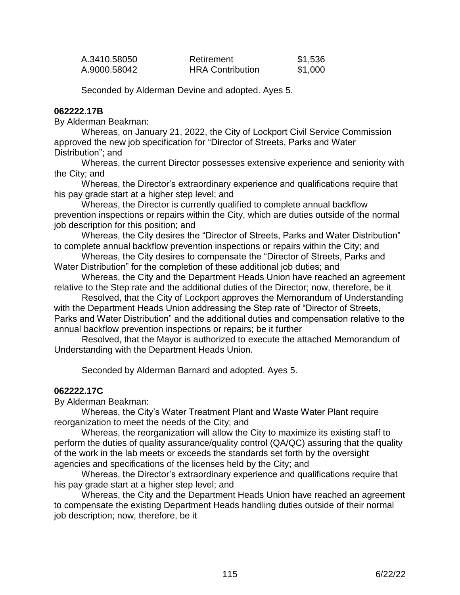| A.3410.58050 | Retirement              | \$1,536 |
|--------------|-------------------------|---------|
| A.9000.58042 | <b>HRA Contribution</b> | \$1,000 |

Seconded by Alderman Devine and adopted. Ayes 5.

#### **062222.17B**

By Alderman Beakman:

 Whereas, on January 21, 2022, the City of Lockport Civil Service Commission approved the new job specification for "Director of Streets, Parks and Water Distribution"; and

 Whereas, the current Director possesses extensive experience and seniority with the City; and

 Whereas, the Director's extraordinary experience and qualifications require that his pay grade start at a higher step level; and

 Whereas, the Director is currently qualified to complete annual backflow prevention inspections or repairs within the City, which are duties outside of the normal job description for this position; and

 Whereas, the City desires the "Director of Streets, Parks and Water Distribution" to complete annual backflow prevention inspections or repairs within the City; and

 Whereas, the City desires to compensate the "Director of Streets, Parks and Water Distribution" for the completion of these additional job duties; and

 Whereas, the City and the Department Heads Union have reached an agreement relative to the Step rate and the additional duties of the Director; now, therefore, be it

 Resolved, that the City of Lockport approves the Memorandum of Understanding with the Department Heads Union addressing the Step rate of "Director of Streets, Parks and Water Distribution" and the additional duties and compensation relative to the annual backflow prevention inspections or repairs; be it further

 Resolved, that the Mayor is authorized to execute the attached Memorandum of Understanding with the Department Heads Union.

Seconded by Alderman Barnard and adopted. Ayes 5.

#### **062222.17C**

By Alderman Beakman:

 Whereas, the City's Water Treatment Plant and Waste Water Plant require reorganization to meet the needs of the City; and

 Whereas, the reorganization will allow the City to maximize its existing staff to perform the duties of quality assurance/quality control (QA/QC) assuring that the quality of the work in the lab meets or exceeds the standards set forth by the oversight agencies and specifications of the licenses held by the City; and

 Whereas, the Director's extraordinary experience and qualifications require that his pay grade start at a higher step level; and

 Whereas, the City and the Department Heads Union have reached an agreement to compensate the existing Department Heads handling duties outside of their normal job description; now, therefore, be it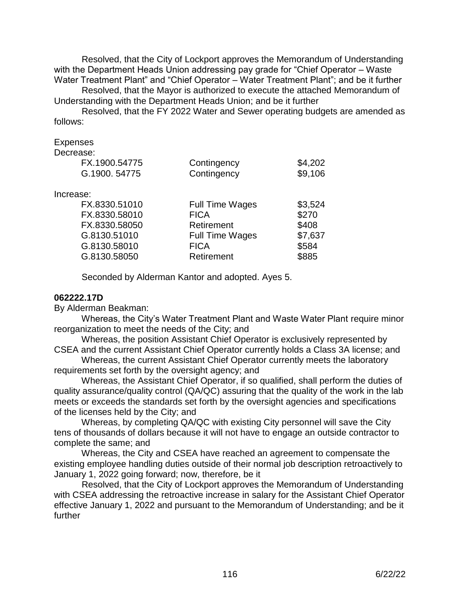Resolved, that the City of Lockport approves the Memorandum of Understanding with the Department Heads Union addressing pay grade for "Chief Operator - Waste Water Treatment Plant" and "Chief Operator – Water Treatment Plant"; and be it further

 Resolved, that the Mayor is authorized to execute the attached Memorandum of Understanding with the Department Heads Union; and be it further

 Resolved, that the FY 2022 Water and Sewer operating budgets are amended as follows:

Expenses

Decrease:

| FX.1900.54775<br>G.1900.54775 | Contingency<br>Contingency | \$4,202<br>\$9,106 |
|-------------------------------|----------------------------|--------------------|
| Increase:                     |                            |                    |
| FX.8330.51010                 | <b>Full Time Wages</b>     | \$3,524            |
| FX.8330.58010                 | <b>FICA</b>                | \$270              |
| FX.8330.58050                 | Retirement                 | \$408              |
| G.8130.51010                  | <b>Full Time Wages</b>     | \$7,637            |
| G.8130.58010                  | <b>FICA</b>                | \$584              |
| G.8130.58050                  | Retirement                 | \$885              |

Seconded by Alderman Kantor and adopted. Ayes 5.

## **062222.17D**

By Alderman Beakman:

 Whereas, the City's Water Treatment Plant and Waste Water Plant require minor reorganization to meet the needs of the City; and

 Whereas, the position Assistant Chief Operator is exclusively represented by CSEA and the current Assistant Chief Operator currently holds a Class 3A license; and

 Whereas, the current Assistant Chief Operator currently meets the laboratory requirements set forth by the oversight agency; and

 Whereas, the Assistant Chief Operator, if so qualified, shall perform the duties of quality assurance/quality control (QA/QC) assuring that the quality of the work in the lab meets or exceeds the standards set forth by the oversight agencies and specifications of the licenses held by the City; and

 Whereas, by completing QA/QC with existing City personnel will save the City tens of thousands of dollars because it will not have to engage an outside contractor to complete the same; and

 Whereas, the City and CSEA have reached an agreement to compensate the existing employee handling duties outside of their normal job description retroactively to January 1, 2022 going forward; now, therefore, be it

 Resolved, that the City of Lockport approves the Memorandum of Understanding with CSEA addressing the retroactive increase in salary for the Assistant Chief Operator effective January 1, 2022 and pursuant to the Memorandum of Understanding; and be it further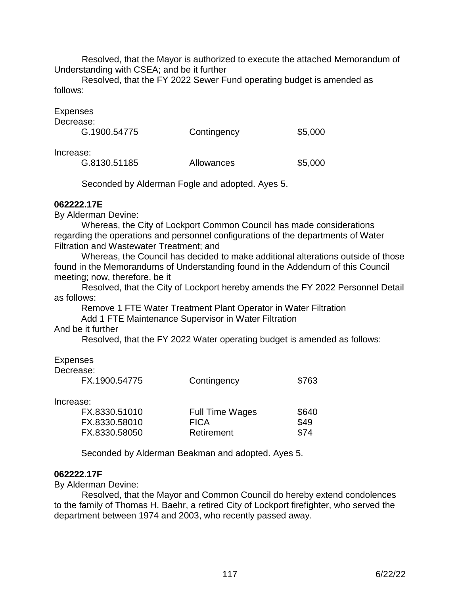Resolved, that the Mayor is authorized to execute the attached Memorandum of Understanding with CSEA; and be it further

 Resolved, that the FY 2022 Sewer Fund operating budget is amended as follows:

#### **Expenses**

| Decrease:                                                                          |             |         |
|------------------------------------------------------------------------------------|-------------|---------|
| G.1900.54775                                                                       | Contingency | \$5,000 |
| Increase:<br>$\bigcap$ $\bigcap$ $\bigcap$ $\bigcap$ $\bigcap$ $\bigcap$ $\bigcap$ | All -       | Ar aaa  |

| G.8130.51185<br>Allowances | \$5,000 |
|----------------------------|---------|
|----------------------------|---------|

Seconded by Alderman Fogle and adopted. Ayes 5.

## **062222.17E**

By Alderman Devine:

 Whereas, the City of Lockport Common Council has made considerations regarding the operations and personnel configurations of the departments of Water Filtration and Wastewater Treatment; and

 Whereas, the Council has decided to make additional alterations outside of those found in the Memorandums of Understanding found in the Addendum of this Council meeting; now, therefore, be it

 Resolved, that the City of Lockport hereby amends the FY 2022 Personnel Detail as follows:

Remove 1 FTE Water Treatment Plant Operator in Water Filtration Add 1 FTE Maintenance Supervisor in Water Filtration

## And be it further

Resolved, that the FY 2022 Water operating budget is amended as follows:

## Expenses

| Decrease:<br>FX.1900.54775 | Contingency            | \$763 |
|----------------------------|------------------------|-------|
|                            |                        |       |
| Increase:                  |                        |       |
| FX.8330.51010              | <b>Full Time Wages</b> | \$640 |
| FX.8330.58010              | <b>FICA</b>            | \$49  |
| FX.8330.58050              | Retirement             | \$74  |
|                            |                        |       |

Seconded by Alderman Beakman and adopted. Ayes 5.

## **062222.17F**

By Alderman Devine:

 Resolved, that the Mayor and Common Council do hereby extend condolences to the family of Thomas H. Baehr, a retired City of Lockport firefighter, who served the department between 1974 and 2003, who recently passed away.